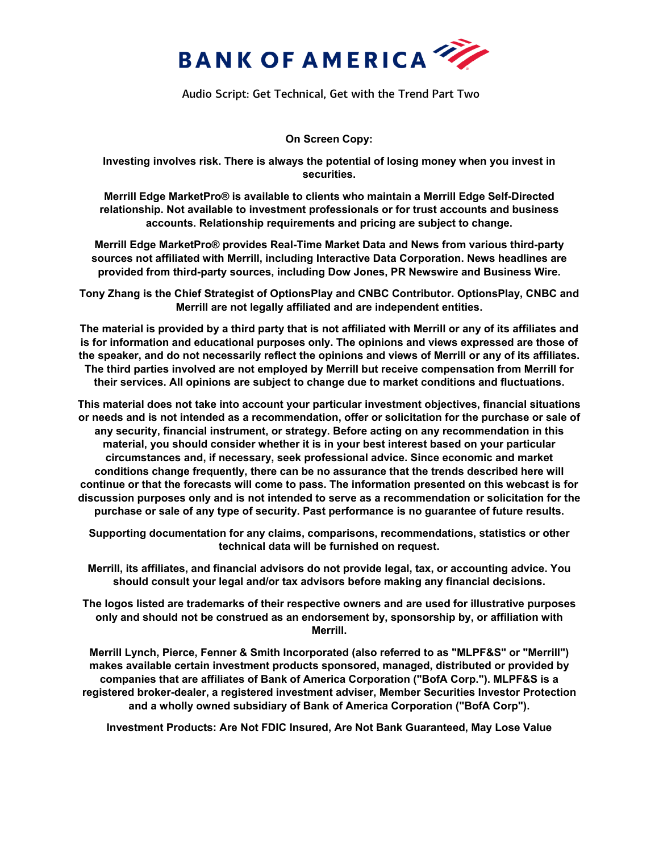

Audio Script: Get Technical, Get with the Trend Part Two

**On Screen Copy:** 

**Investing involves risk. There is always the potential of losing money when you invest in securities.**

**Merrill Edge MarketPro® is available to clients who maintain a Merrill Edge Self-Directed relationship. Not available to investment professionals or for trust accounts and business accounts. Relationship requirements and pricing are subject to change.** 

**Merrill Edge MarketPro® provides Real-Time Market Data and News from various third-party sources not affiliated with Merrill, including Interactive Data Corporation. News headlines are provided from third-party sources, including Dow Jones, PR Newswire and Business Wire.** 

**Tony Zhang is the Chief Strategist of OptionsPlay and CNBC Contributor. OptionsPlay, CNBC and Merrill are not legally affiliated and are independent entities.**

**The material is provided by a third party that is not affiliated with Merrill or any of its affiliates and is for information and educational purposes only. The opinions and views expressed are those of the speaker, and do not necessarily reflect the opinions and views of Merrill or any of its affiliates. The third parties involved are not employed by Merrill but receive compensation from Merrill for their services. All opinions are subject to change due to market conditions and fluctuations.** 

**This material does not take into account your particular investment objectives, financial situations or needs and is not intended as a recommendation, offer or solicitation for the purchase or sale of any security, financial instrument, or strategy. Before acting on any recommendation in this material, you should consider whether it is in your best interest based on your particular circumstances and, if necessary, seek professional advice. Since economic and market conditions change frequently, there can be no assurance that the trends described here will continue or that the forecasts will come to pass. The information presented on this webcast is for discussion purposes only and is not intended to serve as a recommendation or solicitation for the purchase or sale of any type of security. Past performance is no guarantee of future results.** 

**Supporting documentation for any claims, comparisons, recommendations, statistics or other technical data will be furnished on request.**

**Merrill, its affiliates, and financial advisors do not provide legal, tax, or accounting advice. You should consult your legal and/or tax advisors before making any financial decisions.** 

**The logos listed are trademarks of their respective owners and are used for illustrative purposes only and should not be construed as an endorsement by, sponsorship by, or affiliation with Merrill.**

**Merrill Lynch, Pierce, Fenner & Smith Incorporated (also referred to as "MLPF&S" or "Merrill") makes available certain investment products sponsored, managed, distributed or provided by companies that are affiliates of Bank of America Corporation ("BofA Corp."). MLPF&S is a registered broker-dealer, a registered investment adviser, Member Securities Investor Protection and a wholly owned subsidiary of Bank of America Corporation ("BofA Corp").** 

**Investment Products: Are Not FDIC Insured, Are Not Bank Guaranteed, May Lose Value**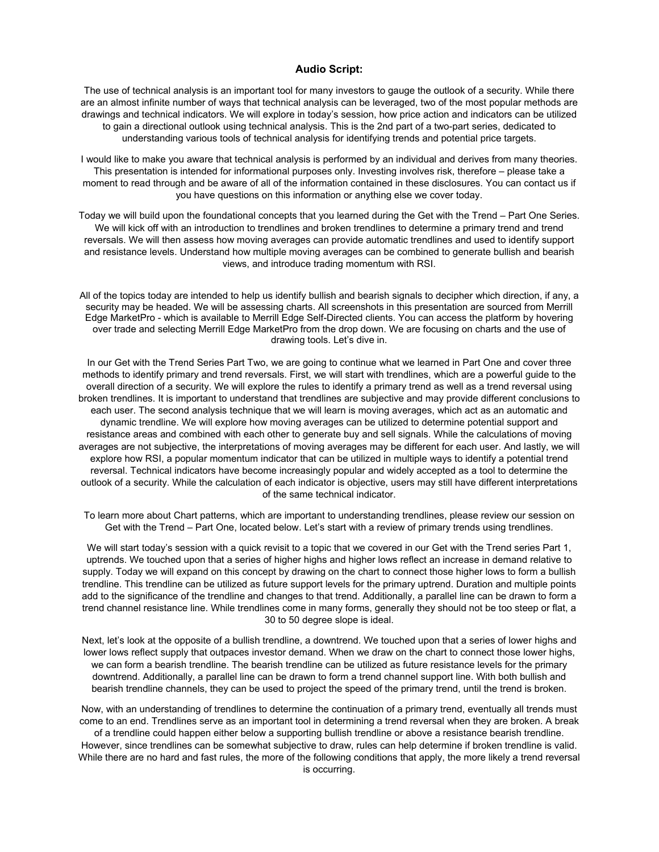## **Audio Script:**

The use of technical analysis is an important tool for many investors to gauge the outlook of a security. While there are an almost infinite number of ways that technical analysis can be leveraged, two of the most popular methods are drawings and technical indicators. We will explore in today's session, how price action and indicators can be utilized to gain a directional outlook using technical analysis. This is the 2nd part of a two-part series, dedicated to understanding various tools of technical analysis for identifying trends and potential price targets.

I would like to make you aware that technical analysis is performed by an individual and derives from many theories. This presentation is intended for informational purposes only. Investing involves risk, therefore – please take a moment to read through and be aware of all of the information contained in these disclosures. You can contact us if you have questions on this information or anything else we cover today.

Today we will build upon the foundational concepts that you learned during the Get with the Trend – Part One Series. We will kick off with an introduction to trendlines and broken trendlines to determine a primary trend and trend reversals. We will then assess how moving averages can provide automatic trendlines and used to identify support and resistance levels. Understand how multiple moving averages can be combined to generate bullish and bearish views, and introduce trading momentum with RSI.

All of the topics today are intended to help us identify bullish and bearish signals to decipher which direction, if any, a security may be headed. We will be assessing charts. All screenshots in this presentation are sourced from Merrill Edge MarketPro - which is available to Merrill Edge Self-Directed clients. You can access the platform by hovering over trade and selecting Merrill Edge MarketPro from the drop down. We are focusing on charts and the use of drawing tools. Let's dive in.

In our Get with the Trend Series Part Two, we are going to continue what we learned in Part One and cover three methods to identify primary and trend reversals. First, we will start with trendlines, which are a powerful guide to the overall direction of a security. We will explore the rules to identify a primary trend as well as a trend reversal using broken trendlines. It is important to understand that trendlines are subjective and may provide different conclusions to each user. The second analysis technique that we will learn is moving averages, which act as an automatic and dynamic trendline. We will explore how moving averages can be utilized to determine potential support and resistance areas and combined with each other to generate buy and sell signals. While the calculations of moving averages are not subjective, the interpretations of moving averages may be different for each user. And lastly, we will explore how RSI, a popular momentum indicator that can be utilized in multiple ways to identify a potential trend reversal. Technical indicators have become increasingly popular and widely accepted as a tool to determine the outlook of a security. While the calculation of each indicator is objective, users may still have different interpretations of the same technical indicator.

To learn more about Chart patterns, which are important to understanding trendlines, please review our session on Get with the Trend – Part One, located below. Let's start with a review of primary trends using trendlines.

We will start today's session with a quick revisit to a topic that we covered in our Get with the Trend series Part 1, uptrends. We touched upon that a series of higher highs and higher lows reflect an increase in demand relative to supply. Today we will expand on this concept by drawing on the chart to connect those higher lows to form a bullish trendline. This trendline can be utilized as future support levels for the primary uptrend. Duration and multiple points add to the significance of the trendline and changes to that trend. Additionally, a parallel line can be drawn to form a trend channel resistance line. While trendlines come in many forms, generally they should not be too steep or flat, a 30 to 50 degree slope is ideal.

Next, let's look at the opposite of a bullish trendline, a downtrend. We touched upon that a series of lower highs and lower lows reflect supply that outpaces investor demand. When we draw on the chart to connect those lower highs, we can form a bearish trendline. The bearish trendline can be utilized as future resistance levels for the primary downtrend. Additionally, a parallel line can be drawn to form a trend channel support line. With both bullish and bearish trendline channels, they can be used to project the speed of the primary trend, until the trend is broken.

Now, with an understanding of trendlines to determine the continuation of a primary trend, eventually all trends must come to an end. Trendlines serve as an important tool in determining a trend reversal when they are broken. A break of a trendline could happen either below a supporting bullish trendline or above a resistance bearish trendline. However, since trendlines can be somewhat subjective to draw, rules can help determine if broken trendline is valid. While there are no hard and fast rules, the more of the following conditions that apply, the more likely a trend reversal

is occurring.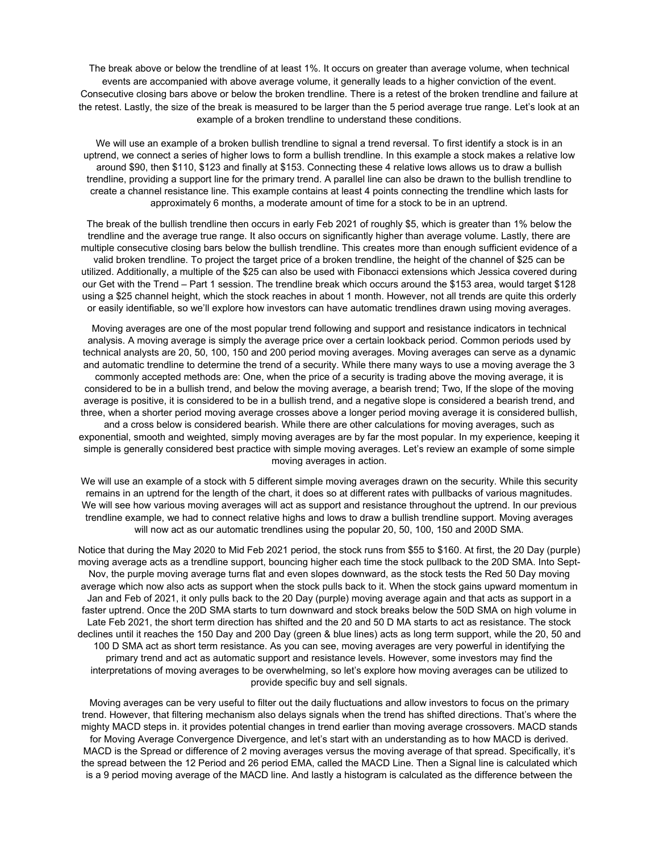The break above or below the trendline of at least 1%. It occurs on greater than average volume, when technical events are accompanied with above average volume, it generally leads to a higher conviction of the event. Consecutive closing bars above or below the broken trendline. There is a retest of the broken trendline and failure at the retest. Lastly, the size of the break is measured to be larger than the 5 period average true range. Let's look at an example of a broken trendline to understand these conditions.

We will use an example of a broken bullish trendline to signal a trend reversal. To first identify a stock is in an uptrend, we connect a series of higher lows to form a bullish trendline. In this example a stock makes a relative low around \$90, then \$110, \$123 and finally at \$153. Connecting these 4 relative lows allows us to draw a bullish trendline, providing a support line for the primary trend. A parallel line can also be drawn to the bullish trendline to create a channel resistance line. This example contains at least 4 points connecting the trendline which lasts for approximately 6 months, a moderate amount of time for a stock to be in an uptrend.

The break of the bullish trendline then occurs in early Feb 2021 of roughly \$5, which is greater than 1% below the trendline and the average true range. It also occurs on significantly higher than average volume. Lastly, there are multiple consecutive closing bars below the bullish trendline. This creates more than enough sufficient evidence of a valid broken trendline. To project the target price of a broken trendline, the height of the channel of \$25 can be utilized. Additionally, a multiple of the \$25 can also be used with Fibonacci extensions which Jessica covered during our Get with the Trend – Part 1 session. The trendline break which occurs around the \$153 area, would target \$128 using a \$25 channel height, which the stock reaches in about 1 month. However, not all trends are quite this orderly or easily identifiable, so we'll explore how investors can have automatic trendlines drawn using moving averages.

Moving averages are one of the most popular trend following and support and resistance indicators in technical analysis. A moving average is simply the average price over a certain lookback period. Common periods used by technical analysts are 20, 50, 100, 150 and 200 period moving averages. Moving averages can serve as a dynamic and automatic trendline to determine the trend of a security. While there many ways to use a moving average the 3 commonly accepted methods are: One, when the price of a security is trading above the moving average, it is considered to be in a bullish trend, and below the moving average, a bearish trend; Two, If the slope of the moving average is positive, it is considered to be in a bullish trend, and a negative slope is considered a bearish trend, and three, when a shorter period moving average crosses above a longer period moving average it is considered bullish, and a cross below is considered bearish. While there are other calculations for moving averages, such as exponential, smooth and weighted, simply moving averages are by far the most popular. In my experience, keeping it simple is generally considered best practice with simple moving averages. Let's review an example of some simple moving averages in action.

We will use an example of a stock with 5 different simple moving averages drawn on the security. While this security remains in an uptrend for the length of the chart, it does so at different rates with pullbacks of various magnitudes. We will see how various moving averages will act as support and resistance throughout the uptrend. In our previous trendline example, we had to connect relative highs and lows to draw a bullish trendline support. Moving averages will now act as our automatic trendlines using the popular 20, 50, 100, 150 and 200D SMA.

Notice that during the May 2020 to Mid Feb 2021 period, the stock runs from \$55 to \$160. At first, the 20 Day (purple) moving average acts as a trendline support, bouncing higher each time the stock pullback to the 20D SMA. Into Sept-Nov, the purple moving average turns flat and even slopes downward, as the stock tests the Red 50 Day moving average which now also acts as support when the stock pulls back to it. When the stock gains upward momentum in Jan and Feb of 2021, it only pulls back to the 20 Day (purple) moving average again and that acts as support in a faster uptrend. Once the 20D SMA starts to turn downward and stock breaks below the 50D SMA on high volume in Late Feb 2021, the short term direction has shifted and the 20 and 50 D MA starts to act as resistance. The stock declines until it reaches the 150 Day and 200 Day (green & blue lines) acts as long term support, while the 20, 50 and 100 D SMA act as short term resistance. As you can see, moving averages are very powerful in identifying the primary trend and act as automatic support and resistance levels. However, some investors may find the interpretations of moving averages to be overwhelming, so let's explore how moving averages can be utilized to provide specific buy and sell signals.

Moving averages can be very useful to filter out the daily fluctuations and allow investors to focus on the primary trend. However, that filtering mechanism also delays signals when the trend has shifted directions. That's where the mighty MACD steps in. it provides potential changes in trend earlier than moving average crossovers. MACD stands for Moving Average Convergence Divergence, and let's start with an understanding as to how MACD is derived. MACD is the Spread or difference of 2 moving averages versus the moving average of that spread. Specifically, it's the spread between the 12 Period and 26 period EMA, called the MACD Line. Then a Signal line is calculated which is a 9 period moving average of the MACD line. And lastly a histogram is calculated as the difference between the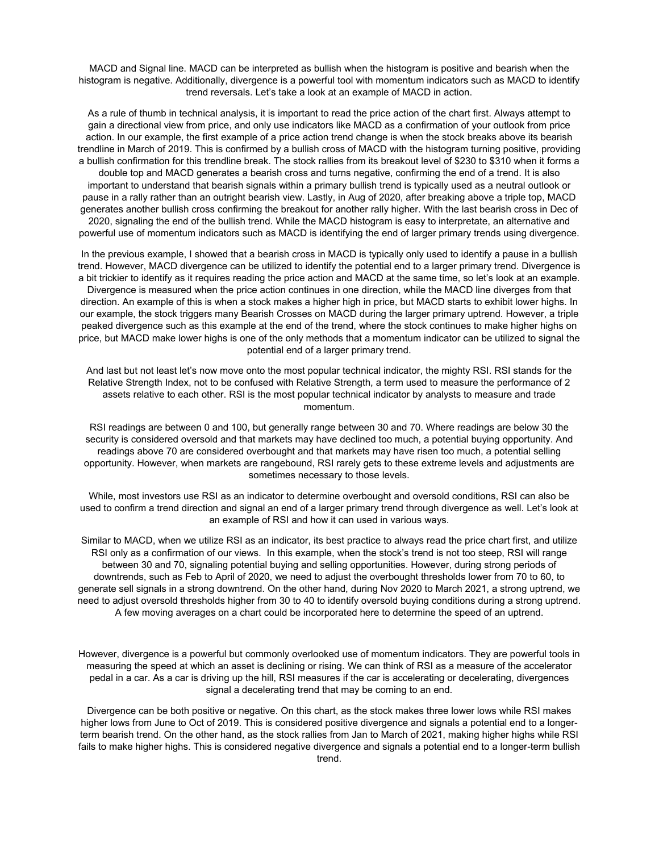MACD and Signal line. MACD can be interpreted as bullish when the histogram is positive and bearish when the histogram is negative. Additionally, divergence is a powerful tool with momentum indicators such as MACD to identify trend reversals. Let's take a look at an example of MACD in action.

As a rule of thumb in technical analysis, it is important to read the price action of the chart first. Always attempt to gain a directional view from price, and only use indicators like MACD as a confirmation of your outlook from price action. In our example, the first example of a price action trend change is when the stock breaks above its bearish trendline in March of 2019. This is confirmed by a bullish cross of MACD with the histogram turning positive, providing a bullish confirmation for this trendline break. The stock rallies from its breakout level of \$230 to \$310 when it forms a double top and MACD generates a bearish cross and turns negative, confirming the end of a trend. It is also important to understand that bearish signals within a primary bullish trend is typically used as a neutral outlook or pause in a rally rather than an outright bearish view. Lastly, in Aug of 2020, after breaking above a triple top, MACD generates another bullish cross confirming the breakout for another rally higher. With the last bearish cross in Dec of 2020, signaling the end of the bullish trend. While the MACD histogram is easy to interpretate, an alternative and powerful use of momentum indicators such as MACD is identifying the end of larger primary trends using divergence.

In the previous example, I showed that a bearish cross in MACD is typically only used to identify a pause in a bullish trend. However, MACD divergence can be utilized to identify the potential end to a larger primary trend. Divergence is a bit trickier to identify as it requires reading the price action and MACD at the same time, so let's look at an example. Divergence is measured when the price action continues in one direction, while the MACD line diverges from that direction. An example of this is when a stock makes a higher high in price, but MACD starts to exhibit lower highs. In our example, the stock triggers many Bearish Crosses on MACD during the larger primary uptrend. However, a triple peaked divergence such as this example at the end of the trend, where the stock continues to make higher highs on price, but MACD make lower highs is one of the only methods that a momentum indicator can be utilized to signal the potential end of a larger primary trend.

And last but not least let's now move onto the most popular technical indicator, the mighty RSI. RSI stands for the Relative Strength Index, not to be confused with Relative Strength, a term used to measure the performance of 2 assets relative to each other. RSI is the most popular technical indicator by analysts to measure and trade momentum.

RSI readings are between 0 and 100, but generally range between 30 and 70. Where readings are below 30 the security is considered oversold and that markets may have declined too much, a potential buying opportunity. And readings above 70 are considered overbought and that markets may have risen too much, a potential selling opportunity. However, when markets are rangebound, RSI rarely gets to these extreme levels and adjustments are sometimes necessary to those levels.

While, most investors use RSI as an indicator to determine overbought and oversold conditions, RSI can also be used to confirm a trend direction and signal an end of a larger primary trend through divergence as well. Let's look at an example of RSI and how it can used in various ways.

Similar to MACD, when we utilize RSI as an indicator, its best practice to always read the price chart first, and utilize RSI only as a confirmation of our views. In this example, when the stock's trend is not too steep, RSI will range between 30 and 70, signaling potential buying and selling opportunities. However, during strong periods of downtrends, such as Feb to April of 2020, we need to adjust the overbought thresholds lower from 70 to 60, to generate sell signals in a strong downtrend. On the other hand, during Nov 2020 to March 2021, a strong uptrend, we need to adjust oversold thresholds higher from 30 to 40 to identify oversold buying conditions during a strong uptrend. A few moving averages on a chart could be incorporated here to determine the speed of an uptrend.

However, divergence is a powerful but commonly overlooked use of momentum indicators. They are powerful tools in measuring the speed at which an asset is declining or rising. We can think of RSI as a measure of the accelerator pedal in a car. As a car is driving up the hill, RSI measures if the car is accelerating or decelerating, divergences signal a decelerating trend that may be coming to an end.

Divergence can be both positive or negative. On this chart, as the stock makes three lower lows while RSI makes higher lows from June to Oct of 2019. This is considered positive divergence and signals a potential end to a longerterm bearish trend. On the other hand, as the stock rallies from Jan to March of 2021, making higher highs while RSI fails to make higher highs. This is considered negative divergence and signals a potential end to a longer-term bullish trend.